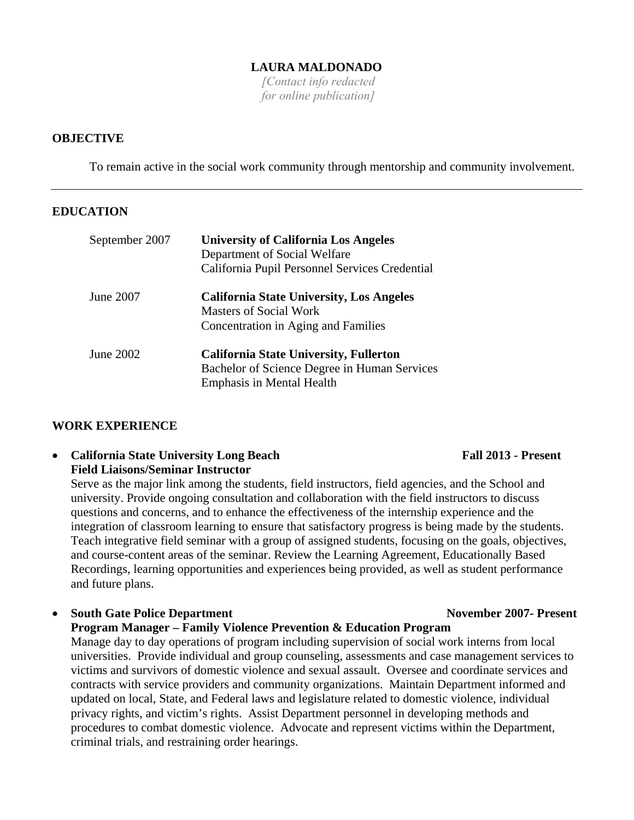### **LAURA MALDONADO**

*[Contact info redacted for online publication]*

### **OBJECTIVE**

To remain active in the social work community through mentorship and community involvement.

### **EDUCATION**

| September 2007 | <b>University of California Los Angeles</b><br>Department of Social Welfare<br>California Pupil Personnel Services Credential     |
|----------------|-----------------------------------------------------------------------------------------------------------------------------------|
| June 2007      | <b>California State University, Los Angeles</b><br><b>Masters of Social Work</b><br>Concentration in Aging and Families           |
| June 2002      | <b>California State University, Fullerton</b><br>Bachelor of Science Degree in Human Services<br><b>Emphasis in Mental Health</b> |

### **WORK EXPERIENCE**

### • California State University Long Beach Fall 2013 - Present **Field Liaisons/Seminar Instructor**

Serve as the major link among the students, field instructors, field agencies, and the School and university. Provide ongoing consultation and collaboration with the field instructors to discuss questions and concerns, and to enhance the effectiveness of the internship experience and the integration of classroom learning to ensure that satisfactory progress is being made by the students. Teach integrative field seminar with a group of assigned students, focusing on the goals, objectives, and course-content areas of the seminar. Review the Learning Agreement, Educationally Based Recordings, learning opportunities and experiences being provided, as well as student performance and future plans.

# • **South Gate Police Department November 2007- Present Program Manager – Family Violence Prevention & Education Program** Manage day to day operations of program including supervision of social work interns from local universities. Provide individual and group counseling, assessments and case management services to victims and survivors of domestic violence and sexual assault. Oversee and coordinate services and contracts with service providers and community organizations. Maintain Department informed and updated on local, State, and Federal laws and legislature related to domestic violence, individual privacy rights, and victim's rights. Assist Department personnel in developing methods and procedures to combat domestic violence. Advocate and represent victims within the Department, criminal trials, and restraining order hearings.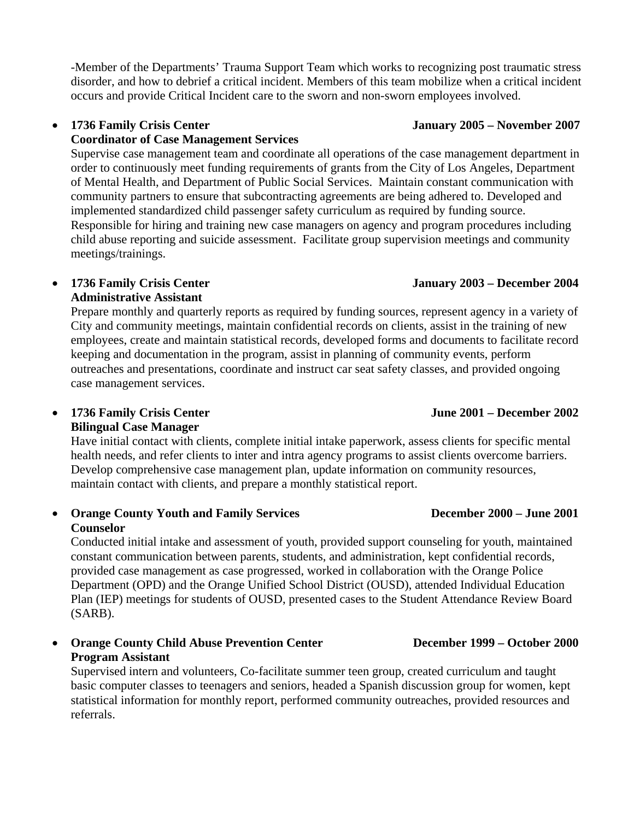-Member of the Departments' Trauma Support Team which works to recognizing post traumatic stress disorder, and how to debrief a critical incident. Members of this team mobilize when a critical incident occurs and provide Critical Incident care to the sworn and non-sworn employees involved.

# **Coordinator of Case Management Services**

Supervise case management team and coordinate all operations of the case management department in order to continuously meet funding requirements of grants from the City of Los Angeles, Department of Mental Health, and Department of Public Social Services. Maintain constant communication with community partners to ensure that subcontracting agreements are being adhered to. Developed and implemented standardized child passenger safety curriculum as required by funding source. Responsible for hiring and training new case managers on agency and program procedures including child abuse reporting and suicide assessment. Facilitate group supervision meetings and community meetings/trainings.

# **Administrative Assistant**

Prepare monthly and quarterly reports as required by funding sources, represent agency in a variety of City and community meetings, maintain confidential records on clients, assist in the training of new employees, create and maintain statistical records, developed forms and documents to facilitate record keeping and documentation in the program, assist in planning of community events, perform outreaches and presentations, coordinate and instruct car seat safety classes, and provided ongoing case management services.

• **1736 Family Crisis Center June 2001 – December 2002 Bilingual Case Manager**

Have initial contact with clients, complete initial intake paperwork, assess clients for specific mental health needs, and refer clients to inter and intra agency programs to assist clients overcome barriers. Develop comprehensive case management plan, update information on community resources, maintain contact with clients, and prepare a monthly statistical report.

### • **Orange County Youth and Family Services December 2000 – June 2001 Counselor**

Conducted initial intake and assessment of youth, provided support counseling for youth, maintained constant communication between parents, students, and administration, kept confidential records, provided case management as case progressed, worked in collaboration with the Orange Police Department (OPD) and the Orange Unified School District (OUSD), attended Individual Education Plan (IEP) meetings for students of OUSD, presented cases to the Student Attendance Review Board (SARB).

# • **Orange County Child Abuse Prevention Center December 1999 – October 2000 Program Assistant**

Supervised intern and volunteers, Co-facilitate summer teen group, created curriculum and taught basic computer classes to teenagers and seniors, headed a Spanish discussion group for women, kept statistical information for monthly report, performed community outreaches, provided resources and referrals.

# • **1736 Family Crisis Center January 2005 – November 2007**

# • **1736 Family Crisis Center January 2003 – December 2004**